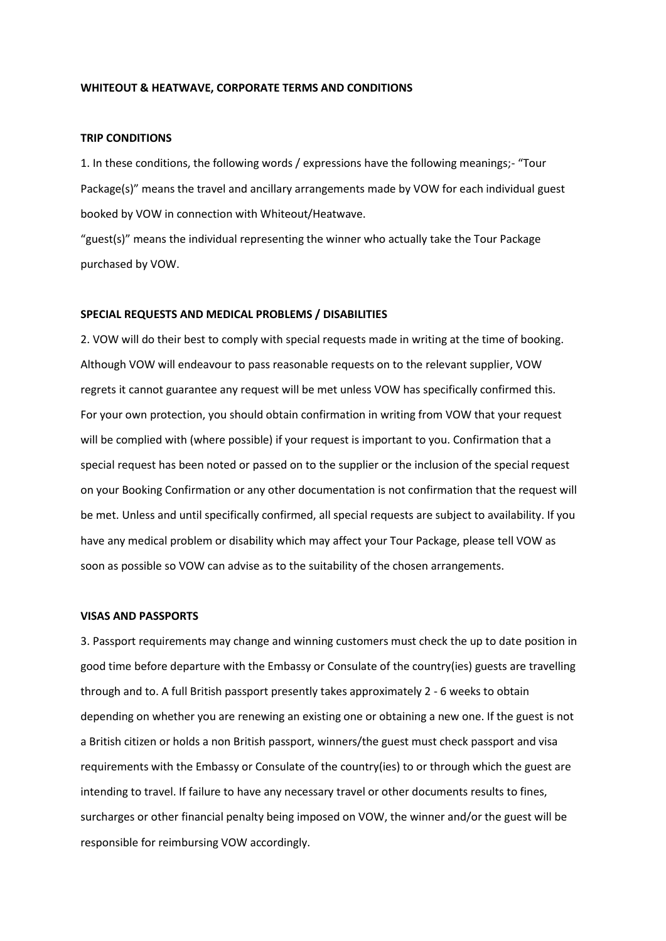### **WHITEOUT & HEATWAVE, CORPORATE TERMS AND CONDITIONS**

#### **TRIP CONDITIONS**

1. In these conditions, the following words / expressions have the following meanings;- "Tour Package(s)" means the travel and ancillary arrangements made by VOW for each individual guest booked by VOW in connection with Whiteout/Heatwave.

"guest(s)" means the individual representing the winner who actually take the Tour Package purchased by VOW.

## **SPECIAL REQUESTS AND MEDICAL PROBLEMS / DISABILITIES**

2. VOW will do their best to comply with special requests made in writing at the time of booking. Although VOW will endeavour to pass reasonable requests on to the relevant supplier, VOW regrets it cannot guarantee any request will be met unless VOW has specifically confirmed this. For your own protection, you should obtain confirmation in writing from VOW that your request will be complied with (where possible) if your request is important to you. Confirmation that a special request has been noted or passed on to the supplier or the inclusion of the special request on your Booking Confirmation or any other documentation is not confirmation that the request will be met. Unless and until specifically confirmed, all special requests are subject to availability. If you have any medical problem or disability which may affect your Tour Package, please tell VOW as soon as possible so VOW can advise as to the suitability of the chosen arrangements.

## **VISAS AND PASSPORTS**

3. Passport requirements may change and winning customers must check the up to date position in good time before departure with the Embassy or Consulate of the country(ies) guests are travelling through and to. A full British passport presently takes approximately 2 - 6 weeks to obtain depending on whether you are renewing an existing one or obtaining a new one. If the guest is not a British citizen or holds a non British passport, winners/the guest must check passport and visa requirements with the Embassy or Consulate of the country(ies) to or through which the guest are intending to travel. If failure to have any necessary travel or other documents results to fines, surcharges or other financial penalty being imposed on VOW, the winner and/or the guest will be responsible for reimbursing VOW accordingly.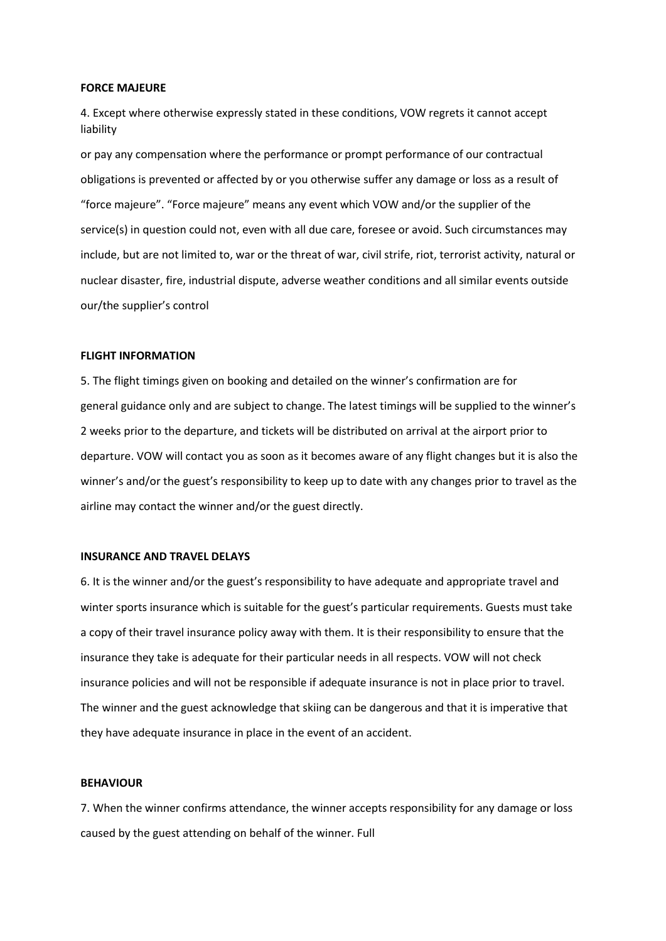### **FORCE MAJEURE**

4. Except where otherwise expressly stated in these conditions, VOW regrets it cannot accept liability

or pay any compensation where the performance or prompt performance of our contractual obligations is prevented or affected by or you otherwise suffer any damage or loss as a result of "force majeure". "Force majeure" means any event which VOW and/or the supplier of the service(s) in question could not, even with all due care, foresee or avoid. Such circumstances may include, but are not limited to, war or the threat of war, civil strife, riot, terrorist activity, natural or nuclear disaster, fire, industrial dispute, adverse weather conditions and all similar events outside our/the supplier's control

## **FLIGHT INFORMATION**

5. The flight timings given on booking and detailed on the winner's confirmation are for general guidance only and are subject to change. The latest timings will be supplied to the winner's 2 weeks prior to the departure, and tickets will be distributed on arrival at the airport prior to departure. VOW will contact you as soon as it becomes aware of any flight changes but it is also the winner's and/or the guest's responsibility to keep up to date with any changes prior to travel as the airline may contact the winner and/or the guest directly.

## **INSURANCE AND TRAVEL DELAYS**

6. It is the winner and/or the guest's responsibility to have adequate and appropriate travel and winter sports insurance which is suitable for the guest's particular requirements. Guests must take a copy of their travel insurance policy away with them. It is their responsibility to ensure that the insurance they take is adequate for their particular needs in all respects. VOW will not check insurance policies and will not be responsible if adequate insurance is not in place prior to travel. The winner and the guest acknowledge that skiing can be dangerous and that it is imperative that they have adequate insurance in place in the event of an accident.

# **BEHAVIOUR**

7. When the winner confirms attendance, the winner accepts responsibility for any damage or loss caused by the guest attending on behalf of the winner. Full